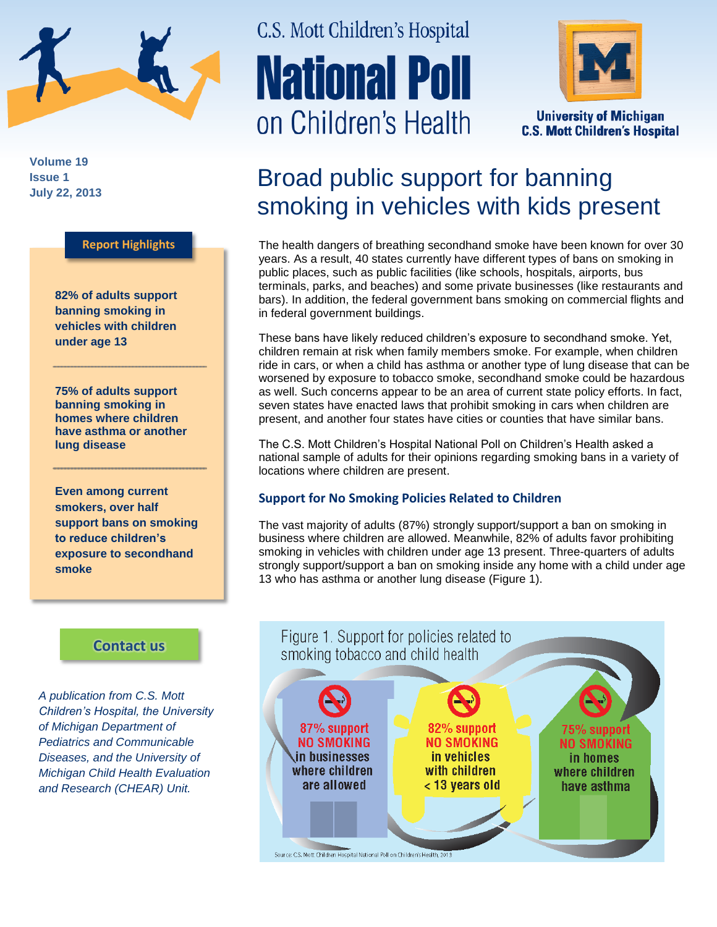

**Volume 19 Issue 1 July 22, 2013**

### **Report Highlights**

**82% of adults support banning smoking in vehicles with children under age 13**

**75% of adults support banning smoking in homes where children have asthma or another lung disease**

**Even among current smokers, over half support bans on smoking to reduce children's exposure to secondhand smoke**

### **[Contact us](http://mottnpch.org/contact)**

*A publication from C.S. Mott Children's Hospital, the University of Michigan Department of Pediatrics and Communicable Diseases, and the University of Michigan Child Health Evaluation and Research (CHEAR) Unit.*

# C.S. Mott Children's Hospital **National Poll** on Children's Health



**University of Michigan C.S. Mott Children's Hospital** 

## Broad public support for banning smoking in vehicles with kids present

The health dangers of breathing secondhand smoke have been known for over 30 years. As a result, 40 states currently have different types of bans on smoking in public places, such as public facilities (like schools, hospitals, airports, bus terminals, parks, and beaches) and some private businesses (like restaurants and bars). In addition, the federal government bans smoking on commercial flights and in federal government buildings.

These bans have likely reduced children's exposure to secondhand smoke. Yet, children remain at risk when family members smoke. For example, when children ride in cars, or when a child has asthma or another type of lung disease that can be worsened by exposure to tobacco smoke, secondhand smoke could be hazardous as well. Such concerns appear to be an area of current state policy efforts. In fact, seven states have enacted laws that prohibit smoking in cars when children are present, and another four states have cities or counties that have similar bans.

The C.S. Mott Children's Hospital National Poll on Children's Health asked a national sample of adults for their opinions regarding smoking bans in a variety of locations where children are present.

### **Support for No Smoking Policies Related to Children**

The vast majority of adults (87%) strongly support/support a ban on smoking in business where children are allowed. Meanwhile, 82% of adults favor prohibiting smoking in vehicles with children under age 13 present. Three-quarters of adults strongly support/support a ban on smoking inside any home with a child under age 13 who has asthma or another lung disease (Figure 1).